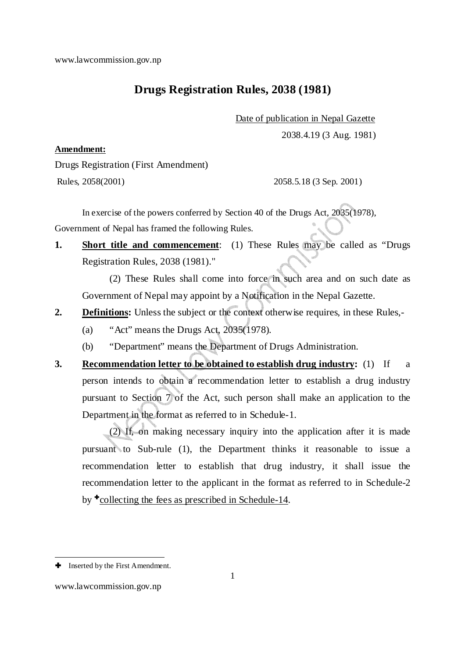# **Drugs Registration Rules, 2038 (1981)**

Date of publication in Nepal Gazette

2038.4.19 (3 Aug. 1981)

#### **Amendment:**

Drugs Registration (First Amendment)

Rules, 2058(2001) 2058.5.18 (3 Sep. 2001)

 In exercise of the powers conferred by Section 40 of the Drugs Act, 2035(1978), Government of Nepal has framed the following Rules.

**1. Short title and commencement**: (1) These Rules may be called as "Drugs Registration Rules, 2038 (1981)."

(2) These Rules shall come into force in such area and on such date as Government of Nepal may appoint by a Notification in the Nepal Gazette.

- **2. Definitions:** Unless the subject or the context otherwise requires, in these Rules,-
	- (a) "Act" means the Drugs Act, 2035(1978).
	- (b) "Department" means the Department of Drugs Administration.
- **3. Recommendation letter to be obtained to establish drug industry:** (1) If a person intends to obtain a recommendation letter to establish a drug industry pursuant to Section 7 of the Act, such person shall make an application to the Department in the format as referred to in Schedule-1.

(2) If, on making necessary inquiry into the application after it is made pursuant to Sub-rule (1), the Department thinks it reasonable to issue a recommendation letter to establish that drug industry, it shall issue the recommendation letter to the applicant in the format as referred to in Schedule-2 by  $\text{+}$  collecting the fees as prescribed in Schedule-14.

-

**<sup>+</sup>** Inserted by the First Amendment.

www.lawcommission.gov.np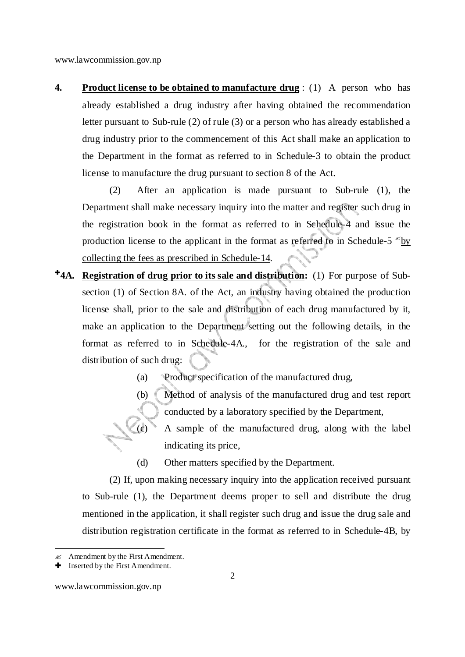**4. Product license to be obtained to manufacture drug** : (1) A person who has already established a drug industry after having obtained the recommendation letter pursuant to Sub-rule (2) of rule (3) or a person who has already established a drug industry prior to the commencement of this Act shall make an application to the Department in the format as referred to in Schedule-3 to obtain the product license to manufacture the drug pursuant to section 8 of the Act.

(2) After an application is made pursuant to Sub-rule (1), the Department shall make necessary inquiry into the matter and register such drug in the registration book in the format as referred to in Schedule-4 and issue the production license to the applicant in the format as referred to in Schedule-5  $\epsilon$  by collecting the fees as prescribed in Schedule-14.

- **4A. Registration of drug prior to its sale and distribution:** (1) For purpose of Subsection (1) of Section 8A. of the Act, an industry having obtained the production license shall, prior to the sale and distribution of each drug manufactured by it, make an application to the Department setting out the following details, in the format as referred to in Schedule-4A., for the registration of the sale and distribution of such drug:
	- (a) Product specification of the manufactured drug,
	- (b) Method of analysis of the manufactured drug and test report conducted by a laboratory specified by the Department,
	- (c) A sample of the manufactured drug, along with the label indicating its price,
	- (d) Other matters specified by the Department.

(2) If, upon making necessary inquiry into the application received pursuant to Sub-rule (1), the Department deems proper to sell and distribute the drug mentioned in the application, it shall register such drug and issue the drug sale and distribution registration certificate in the format as referred to in Schedule-4B, by

<u>.</u>

 $\ll$  Amendment by the First Amendment.

Inserted by the First Amendment.

www.lawcommission.gov.np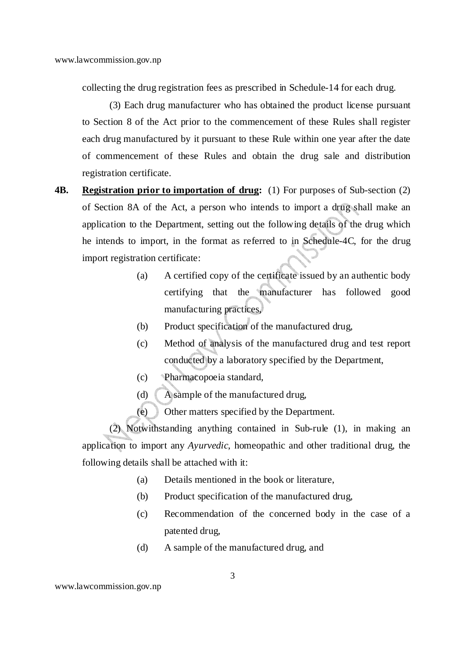collecting the drug registration fees as prescribed in Schedule-14 for each drug.

(3) Each drug manufacturer who has obtained the product license pursuant to Section 8 of the Act prior to the commencement of these Rules shall register each drug manufactured by it pursuant to these Rule within one year after the date of commencement of these Rules and obtain the drug sale and distribution registration certificate.

- **4B. Registration prior to importation of drug:** (1) For purposes of Sub-section (2) of Section 8A of the Act, a person who intends to import a drug shall make an application to the Department, setting out the following details of the drug which he intends to import, in the format as referred to in Schedule-4C, for the drug import registration certificate:
	- (a) A certified copy of the certificate issued by an authentic body certifying that the manufacturer has followed good manufacturing practices,
	- (b) Product specification of the manufactured drug,
	- (c) Method of analysis of the manufactured drug and test report conducted by a laboratory specified by the Department,
	- (c) Pharmacopoeia standard,
	- (d) A sample of the manufactured drug,
	- (e) Other matters specified by the Department.

(2) Notwithstanding anything contained in Sub-rule (1), in making an application to import any *Ayurvedic*, homeopathic and other traditional drug, the following details shall be attached with it:

- (a) Details mentioned in the book or literature,
- (b) Product specification of the manufactured drug,
- (c) Recommendation of the concerned body in the case of a patented drug,
- (d) A sample of the manufactured drug, and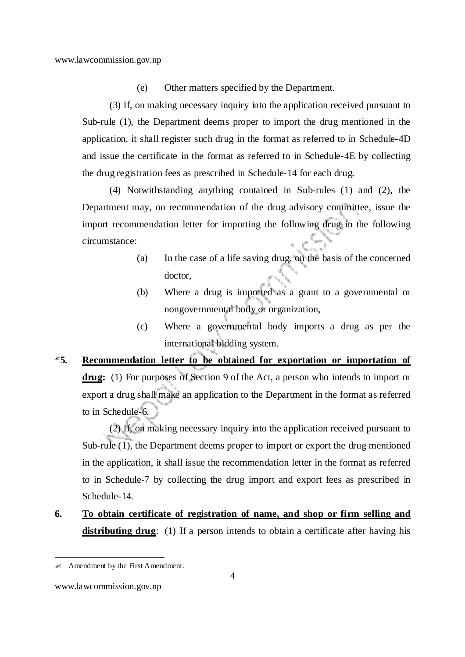(e) Other matters specified by the Department.

(3) If, on making necessary inquiry into the application received pursuant to Sub-rule (1), the Department deems proper to import the drug mentioned in the application, it shall register such drug in the format as referred to in Schedule-4D and issue the certificate in the format as referred to in Schedule-4E by collecting the drug registration fees as prescribed in Schedule-14 for each drug.

(4) Notwithstanding anything contained in Sub-rules (1) and (2), the Department may, on recommendation of the drug advisory committee, issue the import recommendation letter for importing the following drug in the following circumstance:

- (a) In the case of a life saving drug, on the basis of the concerned doctor,
- (b) Where a drug is imported as a grant to a governmental or nongovernmental body or organization,
- (c) Where a governmental body imports a drug as per the international bidding system.
- **5. Recommendation letter to be obtained for exportation or importation of drug:** (1) For purposes of Section 9 of the Act, a person who intends to import or export a drug shall make an application to the Department in the format as referred to in Schedule-6.

(2) If, on making necessary inquiry into the application received pursuant to Sub-rule (1), the Department deems proper to import or export the drug mentioned in the application, it shall issue the recommendation letter in the format as referred to in Schedule-7 by collecting the drug import and export fees as prescribed in Schedule-14.

**6. To obtain certificate of registration of name, and shop or firm selling and distributing drug**: (1) If a person intends to obtain a certificate after having his

-

 $\mathscr{A}$  Amendment by the First Amendment.

www.lawcommission.gov.np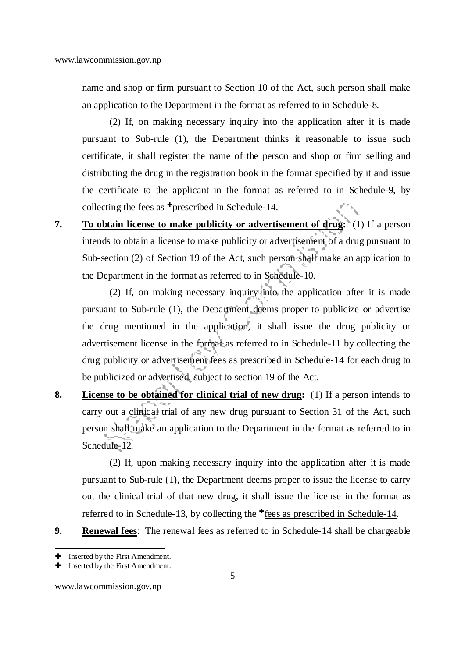name and shop or firm pursuant to Section 10 of the Act, such person shall make an application to the Department in the format as referred to in Schedule-8.

(2) If, on making necessary inquiry into the application after it is made pursuant to Sub-rule (1), the Department thinks it reasonable to issue such certificate, it shall register the name of the person and shop or firm selling and distributing the drug in the registration book in the format specified by it and issue the certificate to the applicant in the format as referred to in Schedule-9, by collecting the fees as  $\bullet$  prescribed in Schedule-14.

**7. To obtain license to make publicity or advertisement of drug:** (1) If a person intends to obtain a license to make publicity or advertisement of a drug pursuant to Sub-section (2) of Section 19 of the Act, such person shall make an application to the Department in the format as referred to in Schedule-10.

(2) If, on making necessary inquiry into the application after it is made pursuant to Sub-rule (1), the Department deems proper to publicize or advertise the drug mentioned in the application, it shall issue the drug publicity or advertisement license in the format as referred to in Schedule-11 by collecting the drug publicity or advertisement fees as prescribed in Schedule-14 for each drug to be publicized or advertised, subject to section 19 of the Act.

**8. License to be obtained for clinical trial of new drug:** (1) If a person intends to carry out a clinical trial of any new drug pursuant to Section 31 of the Act, such person shall make an application to the Department in the format as referred to in Schedule-12.

(2) If, upon making necessary inquiry into the application after it is made pursuant to Sub-rule (1), the Department deems proper to issue the license to carry out the clinical trial of that new drug, it shall issue the license in the format as referred to in Schedule-13, by collecting the  $\uparrow$  fees as prescribed in Schedule-14.

**9. Renewal fees**: The renewal fees as referred to in Schedule-14 shall be chargeable

<sup>&</sup>lt;u>.</u> Inserted by the First Amendment.

Inserted by the First Amendment.

www.lawcommission.gov.np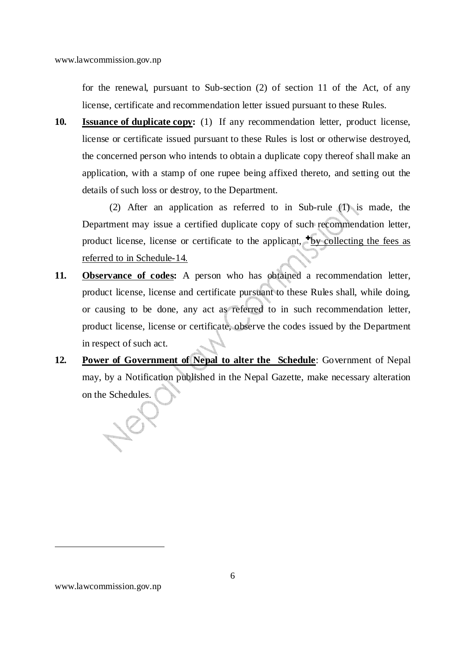for the renewal, pursuant to Sub-section (2) of section 11 of the Act, of any license, certificate and recommendation letter issued pursuant to these Rules.

**10. Issuance of duplicate copy:** (1) If any recommendation letter, product license, license or certificate issued pursuant to these Rules is lost or otherwise destroyed, the concerned person who intends to obtain a duplicate copy thereof shall make an application, with a stamp of one rupee being affixed thereto, and setting out the details of such loss or destroy, to the Department.

(2) After an application as referred to in Sub-rule (1) is made, the Department may issue a certified duplicate copy of such recommendation letter, product license, license or certificate to the applicant,  $\frac{1}{2}$  by collecting the fees as referred to in Schedule-14.

- **11. Observance of codes:** A person who has obtained a recommendation letter, product license, license and certificate pursuant to these Rules shall, while doing, or causing to be done, any act as referred to in such recommendation letter, product license, license or certificate, observe the codes issued by the Department in respect of such act.
- **12. Power of Government of Nepal to alter the Schedule**: Government of Nepal may, by a Notification published in the Nepal Gazette, make necessary alteration on the Schedules.

-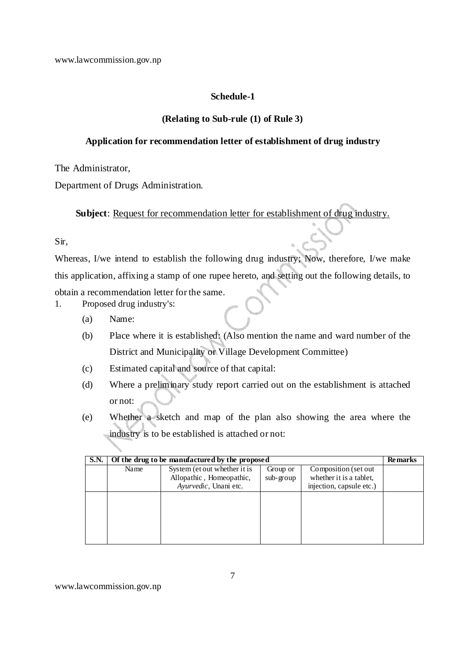#### **Schedule-1**

#### **(Relating to Sub-rule (1) of Rule 3)**

#### **Application for recommendation letter of establishment of drug industry**

The Administrator,

Department of Drugs Administration.

**Subject**: Request for recommendation letter for establishment of drug industry.

#### Sir,

Whereas, I/we intend to establish the following drug industry; Now, therefore, I/we make this application, affixing a stamp of one rupee hereto, and setting out the following details, to obtain a recommendation letter for the same.

1. Proposed drug industry's:

- (a) Name:
- (b) Place where it is established: (Also mention the name and ward number of the District and Municipality or Village Development Committee)
- (c) Estimated capital and source of that capital:
- (d) Where a preliminary study report carried out on the establishment is attached or not:
- (e) Whether a sketch and map of the plan also showing the area where the industry is to be established is attached or not:

| <b>S.N.</b> |      | Of the drug to be manufactured by the proposed                                    |                         |                                                                             | <b>Remarks</b> |
|-------------|------|-----------------------------------------------------------------------------------|-------------------------|-----------------------------------------------------------------------------|----------------|
|             | Name | System (et out whether it is<br>Allopathic, Homeopathic,<br>Ayurvedic, Unani etc. | Group or<br>$sub-group$ | Composition (set out<br>whether it is a tablet,<br>injection, capsule etc.) |                |
|             |      |                                                                                   |                         |                                                                             |                |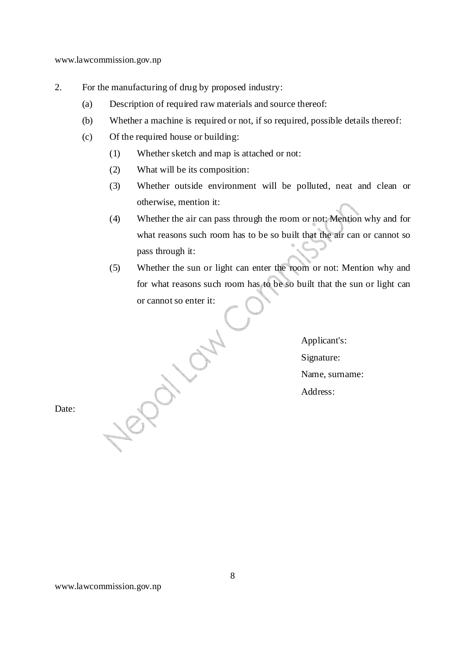- 2. For the manufacturing of drug by proposed industry:
	- (a) Description of required raw materials and source thereof:
	- (b) Whether a machine is required or not, if so required, possible details thereof:
	- (c) Of the required house or building:
		- (1) Whether sketch and map is attached or not:
		- (2) What will be its composition:
		- (3) Whether outside environment will be polluted, neat and clean or otherwise, mention it:
		- (4) Whether the air can pass through the room or not: Mention why and for what reasons such room has to be so built that the air can or cannot so pass through it:
		- (5) Whether the sun or light can enter the room or not: Mention why and for what reasons such room has to be so built that the sun or light can or cannot so enter it:

Applicant's: Signature: Name, surname: Address:

Date: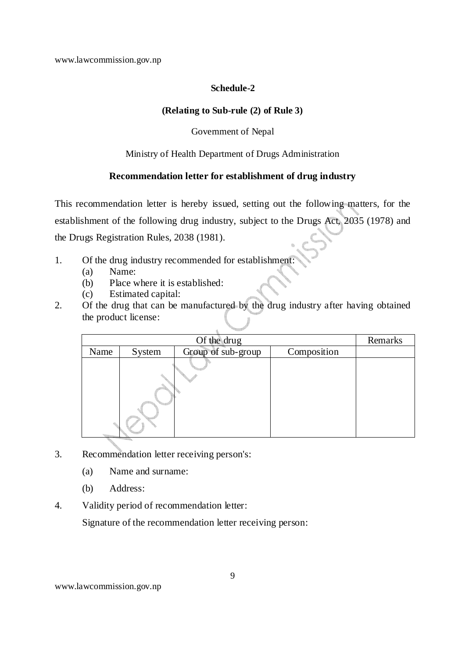#### **Schedule-2**

#### **(Relating to Sub-rule (2) of Rule 3)**

#### Government of Nepal

#### Ministry of Health Department of Drugs Administration

#### **Recommendation letter for establishment of drug industry**

This recommendation letter is hereby issued, setting out the following matters, for the establishment of the following drug industry, subject to the Drugs Act, 2035 (1978) and the Drugs Registration Rules, 2038 (1981).

- 1. Of the drug industry recommended for establishment:
	- (a) Name:
	- (b) Place where it is established:
	- (c) Estimated capital:
- 2. Of the drug that can be manufactured by the drug industry after having obtained the product license:

|      | Of the drug |  |  |  |  |  |  |  |  |  |
|------|-------------|--|--|--|--|--|--|--|--|--|
| Name | System      |  |  |  |  |  |  |  |  |  |
|      |             |  |  |  |  |  |  |  |  |  |

- 3. Recommendation letter receiving person's:
	- (a) Name and surname:
	- (b) Address:
- 4. Validity period of recommendation letter:

Signature of the recommendation letter receiving person: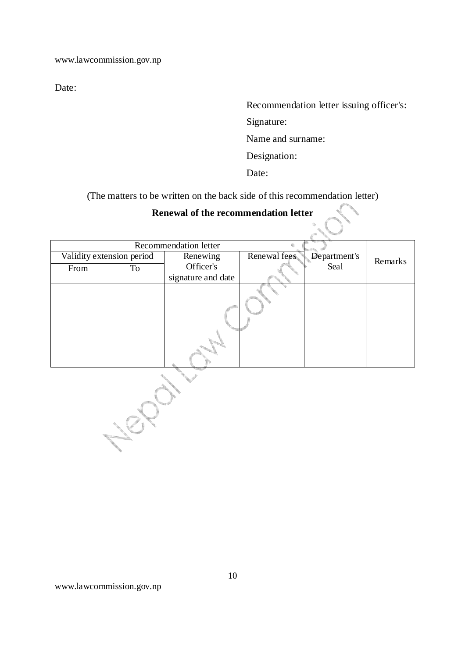Date:

Recommendation letter issuing officer's:

Signature:

Name and surname:

Designation:

Date:

(The matters to be written on the back side of this recommendation letter)

# **Renewal of the recommendation letter**

|      |                           | Recommendation letter |              |              |         |
|------|---------------------------|-----------------------|--------------|--------------|---------|
|      | Validity extension period | Renewing              | Renewal fees | Department's | Remarks |
| From | To                        | Officer's             |              | Sea1         |         |
|      |                           | signature and date    |              |              |         |
|      |                           |                       |              |              |         |

1822-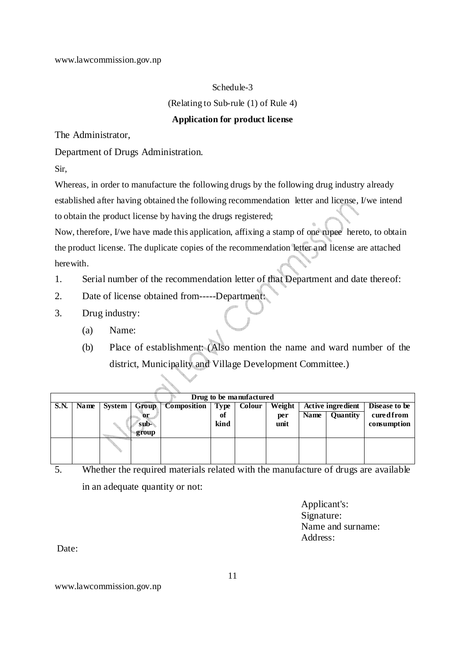#### Schedule-3

(Relating to Sub-rule (1) of Rule 4)

#### **Application for product license**

The Administrator,

#### Department of Drugs Administration.

Sir,

Whereas, in order to manufacture the following drugs by the following drug industry already established after having obtained the following recommendation letter and license, I/we intend to obtain the product license by having the drugs registered;

Now, therefore, I/we have made this application, affixing a stamp of one rupee hereto, to obtain the product license. The duplicate copies of the recommendation letter and license are attached herewith.

- 1. Serial number of the recommendation letter of that Department and date thereof:
- 2. Date of license obtained from-----Department:
- 3. Drug industry:
	- (a) Name:
	- (b) Place of establishment: (Also mention the name and ward number of the district, Municipality and Village Development Committee.)

|             | Drug to be manufactured |        |       |                    |             |        |        |             |                          |               |  |  |
|-------------|-------------------------|--------|-------|--------------------|-------------|--------|--------|-------------|--------------------------|---------------|--|--|
| <b>S.N.</b> | Name                    | System | Group | <b>Composition</b> | <b>Type</b> | Colour | Weight |             | <b>Active ingredient</b> | Disease to be |  |  |
|             |                         |        | or    |                    | оf          |        | per    | <b>Name</b> | Quantity                 | cured from    |  |  |
|             |                         |        | sub-  |                    | kind        |        | unit   |             |                          | consumption   |  |  |
|             |                         |        | group |                    |             |        |        |             |                          |               |  |  |
|             |                         |        |       |                    |             |        |        |             |                          |               |  |  |
|             |                         |        |       |                    |             |        |        |             |                          |               |  |  |
|             |                         |        |       |                    |             |        |        |             |                          |               |  |  |

5. Whether the required materials related with the manufacture of drugs are available in an adequate quantity or not:

> Applicant's: Signature: Name and surname: Address:

Date:

www.lawcommission.gov.np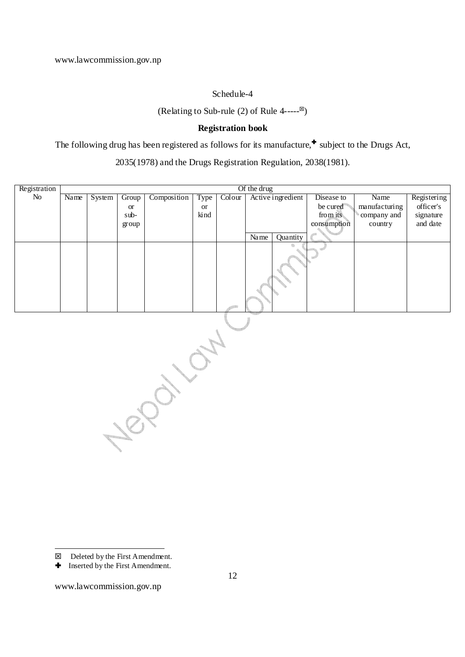#### Schedule-4

(Relating to Sub-rule (2) of Rule  $4$ -----<sup> $\boxtimes$ </sup>)

#### **Registration book**

The following drug has been registered as follows for its manufacture, $\triangleq$  subject to the Drugs Act,

2035(1978) and the Drugs Registration Regulation, 2038(1981).

| Registration |      |        |                                                                                                                                      |             |                      |        | Of the drug |                   |             |               |             |
|--------------|------|--------|--------------------------------------------------------------------------------------------------------------------------------------|-------------|----------------------|--------|-------------|-------------------|-------------|---------------|-------------|
| $\rm No$     | Name | System | Group                                                                                                                                | Composition | Type                 | Colour |             | Active ingredient | Disease to  | Name          | Registering |
|              |      |        | $\,$ or                                                                                                                              |             | $\hbox{or}\hskip2pt$ |        |             |                   | be cured    | manufacturing | officer's   |
|              |      |        | $sub-$                                                                                                                               |             | kind                 |        |             |                   | from its    | company and   | signature   |
|              |      |        | group                                                                                                                                |             |                      |        |             |                   | consumption | country       | and date    |
|              |      |        |                                                                                                                                      |             |                      |        | Name        | Quantity          |             |               |             |
|              |      |        |                                                                                                                                      |             |                      |        |             |                   |             |               |             |
|              |      |        | en en 1979 en 1979.<br>De groupe de la groupe de la groupe de la groupe de la groupe de la groupe de la groupe de la groupe de la gr |             |                      |        |             |                   |             |               |             |

<u>.</u>

<sup>■</sup> Deleted by the First Amendment.

**<sup>+</sup>** Inserted by the First Amendment.

www.lawcommission.gov.np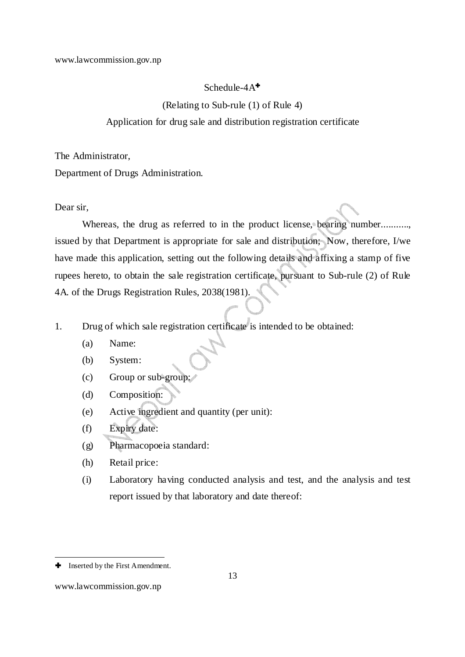#### Schedule-4A<sup>+</sup>

(Relating to Sub-rule (1) of Rule 4)

#### Application for drug sale and distribution registration certificate

The Administrator,

Department of Drugs Administration.

Dear sir,

Whereas, the drug as referred to in the product license, bearing number........... issued by that Department is appropriate for sale and distribution; Now, therefore, I/we have made this application, setting out the following details and affixing a stamp of five rupees hereto, to obtain the sale registration certificate, pursuant to Sub-rule (2) of Rule 4A. of the Drugs Registration Rules, 2038(1981).

1. Drug of which sale registration certificate is intended to be obtained:

- (a) Name:
- (b) System:
- (c) Group or sub-group:
- (d) Composition:
- (e) Active ingredient and quantity (per unit):
- (f) Expiry date:
- (g) Pharmacopoeia standard:
- (h) Retail price:
- (i) Laboratory having conducted analysis and test, and the analysis and test report issued by that laboratory and date thereof:

-

**<sup>+</sup>** Inserted by the First Amendment.

www.lawcommission.gov.np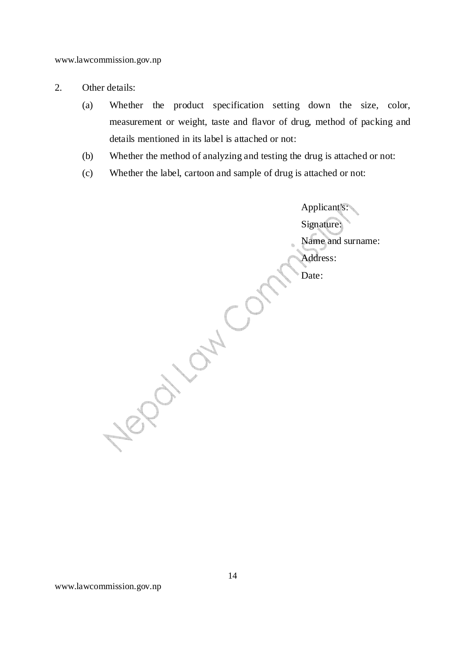- 2. Other details:
	- (a) Whether the product specification setting down the size, color, measurement or weight, taste and flavor of drug, method of packing and details mentioned in its label is attached or not:
	- (b) Whether the method of analyzing and testing the drug is attached or not:
	- (c) Whether the label, cartoon and sample of drug is attached or not:

Applicant's: Signature: Name and surname: Address: Negative Comption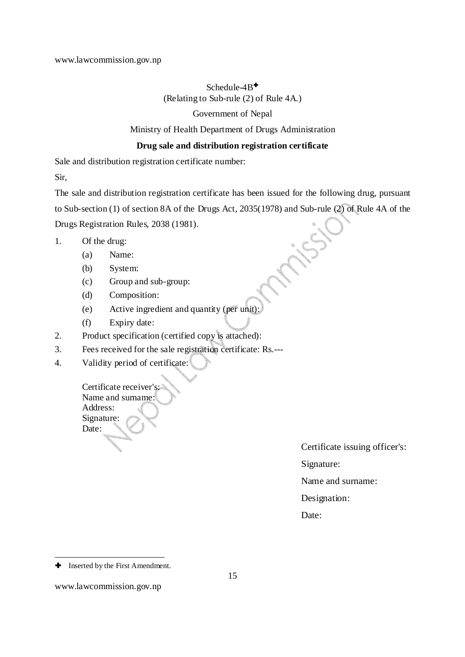#### Schedule-4B<sup>+</sup> (Relating to Sub-rule (2) of Rule 4A.)

#### Government of Nepal

#### Ministry of Health Department of Drugs Administration

#### **Drug sale and distribution registration certificate**

Sale and distribution registration certificate number:

Sir,

The sale and distribution registration certificate has been issued for the following drug, pursuant to Sub-section (1) of section 8A of the Drugs Act, 2035(1978) and Sub-rule (2) of Rule 4A of the Drugs Registration Rules, 2038 (1981).

- 1. Of the drug:
	- (a) Name:
	- (b) System:
	- (c) Group and sub-group:
	- (d) Composition:
	- (e) Active ingredient and quantity (per unit):
	- (f) Expiry date:
- 2. Product specification (certified copy is attached):
- 3. Fees received for the sale registration certificate: Rs.---
- 4. Validity period of certificate:

Certificate receiver's: Name and surname: Address: Signature: Date:

Certificate issuing officer's:

Signature:

Name and surname:

Designation:

Date:

-

**<sup>+</sup>** Inserted by the First Amendment.

www.lawcommission.gov.np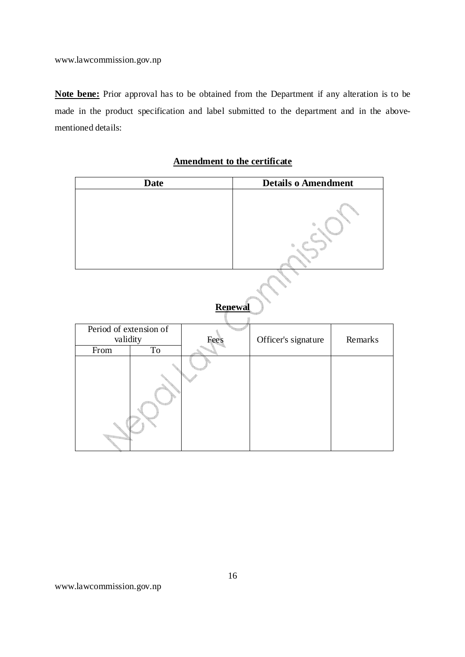**Note bene:** Prior approval has to be obtained from the Department if any alteration is to be made in the product specification and label submitted to the department and in the abovementioned details:

|                                    | <b>Date</b> |                | <b>Details o Amendment</b> |                     |         |  |  |
|------------------------------------|-------------|----------------|----------------------------|---------------------|---------|--|--|
|                                    |             |                |                            |                     |         |  |  |
|                                    |             | <b>Renewal</b> |                            |                     |         |  |  |
| Period of extension of<br>validity |             | <b>Fees</b>    |                            | Officer's signature | Remarks |  |  |
| From                               | To          |                |                            |                     |         |  |  |
|                                    |             |                |                            |                     |         |  |  |

**Amendment to the certificate**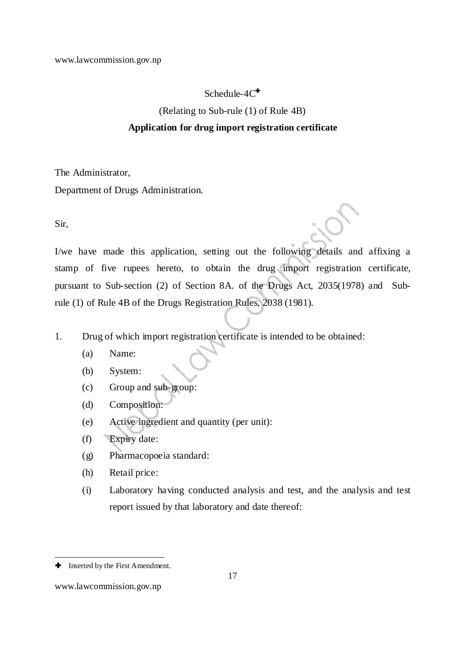#### Schedule- $4C^{\dagger}$

(Relating to Sub-rule (1) of Rule 4B)

#### **Application for drug import registration certificate**

The Administrator,

Department of Drugs Administration.

Sir,

I/we have made this application, setting out the following details and affixing a stamp of five rupees hereto, to obtain the drug import registration certificate, pursuant to Sub-section (2) of Section 8A. of the Drugs Act, 2035(1978) and Subrule (1) of Rule 4B of the Drugs Registration Rules, 2038 (1981).

- 1. Drug of which import registration certificate is intended to be obtained:
	- (a) Name:
	- (b) System:
	- (c) Group and sub-group:
	- (d) Composition:
	- (e) Active ingredient and quantity (per unit):
	- (f) Expiry date:
	- (g) Pharmacopoeia standard:
	- (h) Retail price:
	- (i) Laboratory having conducted analysis and test, and the analysis and test report issued by that laboratory and date thereof:

-

**<sup>+</sup>** Inserted by the First Amendment.

www.lawcommission.gov.np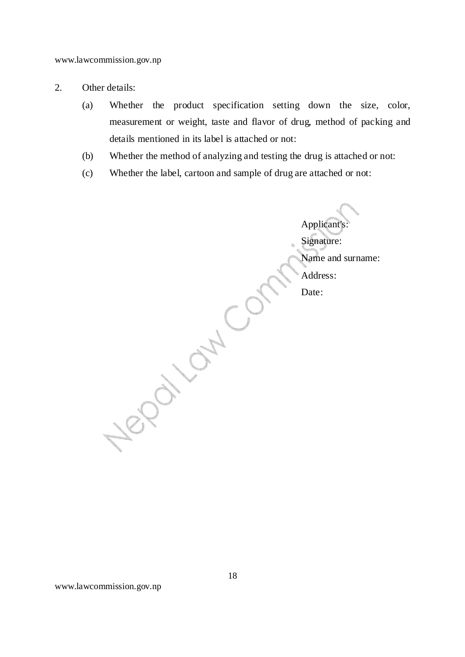- 2. Other details:
	- (a) Whether the product specification setting down the size, color, measurement or weight, taste and flavor of drug, method of packing and details mentioned in its label is attached or not:
	- (b) Whether the method of analyzing and testing the drug is attached or not:
	- (c) Whether the label, cartoon and sample of drug are attached or not:

Applicant's:<br>
Signature:<br>
Name and st<br>
Address:<br>
Date:<br>
Date: Signature: Name and surname: Address: Date: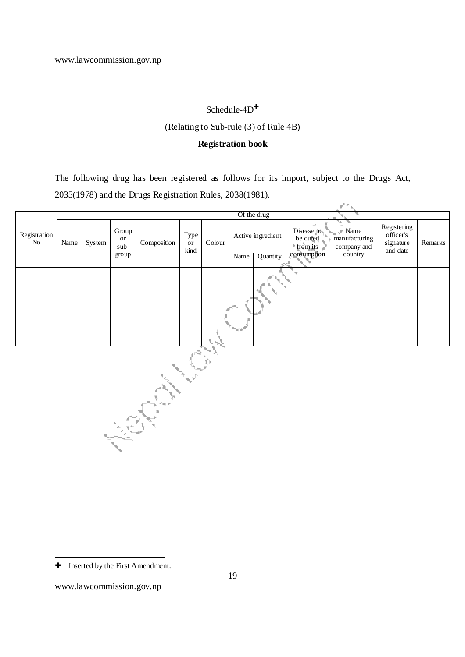#### Schedule-4D<sup>+</sup>

#### (Relating to Sub-rule (3) of Rule 4B)

#### **Registration book**

The following drug has been registered as follows for its import, subject to the Drugs Act, 2035(1978) and the Drugs Registration Rules, 2038(1981).

|                    |      |        |                     |             |                    |        |      | Of the drug       |                                    |                                      |                                                   |         |
|--------------------|------|--------|---------------------|-------------|--------------------|--------|------|-------------------|------------------------------------|--------------------------------------|---------------------------------------------------|---------|
| Registration<br>No | Name | System | Group<br>or<br>sub- | Composition | Type<br>or<br>kind | Colour |      | Active ingredient | Disease to<br>be cured<br>from its | Name<br>manufacturing<br>company and | Registering<br>officer's<br>signature<br>and date | Remarks |
|                    |      |        | group               |             |                    |        | Name | Quantity          | consumption                        | country                              |                                                   |         |
|                    |      |        |                     |             |                    |        |      |                   |                                    |                                      |                                                   |         |

Nepara

-

 $\blacklozenge$  Inserted by the First Amendment.

www.lawcommission.gov.np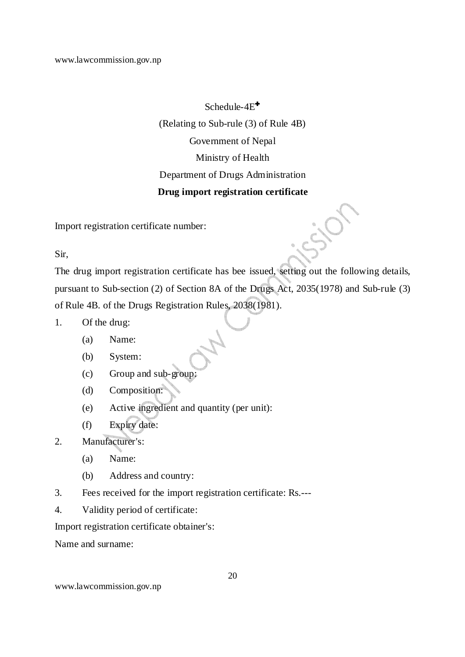# Schedule-4E<sup>+</sup> (Relating to Sub-rule (3) of Rule 4B) Government of Nepal Ministry of Health Department of Drugs Administration **Drug import registration certificate**

Import registration certificate number:

Sir,

The drug import registration certificate has bee issued, setting out the following details, pursuant to Sub-section (2) of Section 8A of the Drugs Act, 2035(1978) and Sub-rule (3) of Rule 4B. of the Drugs Registration Rules, 2038(1981).

- 1. Of the drug:
	- (a) Name:
	- (b) System:
	- (c) Group and sub-group:
	- (d) Composition:
	- (e) Active ingredient and quantity (per unit):
	- (f) Expiry date:
- 2. Manufacturer's:
	- (a) Name:
	- (b) Address and country:
- 3. Fees received for the import registration certificate: Rs.---
- 4. Validity period of certificate:

Import registration certificate obtainer's:

Name and surname: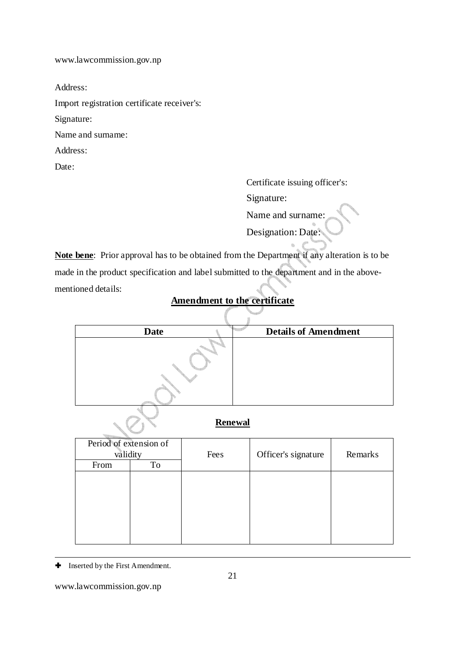Address:

Import registration certificate receiver's:

Signature:

Name and surname:

Address:

Date:

 Certificate issuing officer's: Signature: Name and surname: Designation: Date:

**Note bene**: Prior approval has to be obtained from the Department if any alteration is to be made in the product specification and label submitted to the department and in the abovementioned details:

# **Amendment to the certificate**

| <b>Date</b> | <b>Details of Amendment</b> |
|-------------|-----------------------------|
|             |                             |
|             |                             |

#### **Renewal**

| Period of extension of |    |      |                     |         |  |
|------------------------|----|------|---------------------|---------|--|
| validity               |    | Fees | Officer's signature | Remarks |  |
| From                   | To |      |                     |         |  |
|                        |    |      |                     |         |  |
|                        |    |      |                     |         |  |
|                        |    |      |                     |         |  |
|                        |    |      |                     |         |  |
|                        |    |      |                     |         |  |
|                        |    |      |                     |         |  |

- $\blacklozenge$  Inserted by the First Amendment.

www.lawcommission.gov.np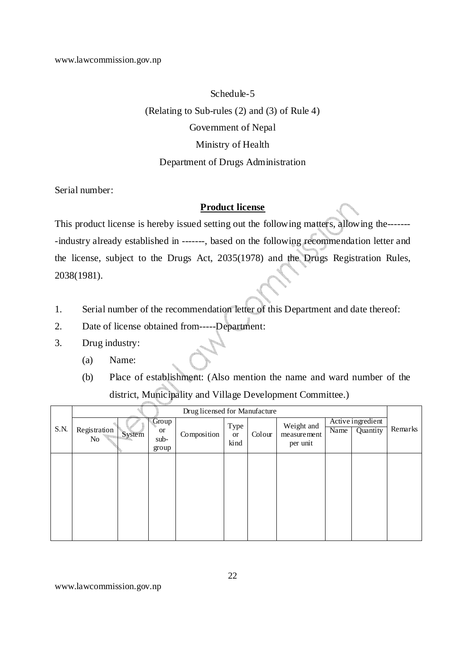#### Schedule-5

(Relating to Sub-rules (2) and (3) of Rule 4)

#### Government of Nepal

#### Ministry of Health

#### Department of Drugs Administration

Serial number:

#### **Product license**

This product license is hereby issued setting out the following matters, allowing the------- -industry already established in -------, based on the following recommendation letter and the license, subject to the Drugs Act, 2035(1978) and the Drugs Registration Rules, 2038(1981).

- 1. Serial number of the recommendation letter of this Department and date thereof:
- 2. Date of license obtained from-----Department:
- 3. Drug industry:
	- (a) Name:
	- (b) Place of establishment: (Also mention the name and ward number of the district, Municipality and Village Development Committee.)

|      |                    |        |                       | Drug licensed for Manufacture |      |        |             |                   |          |         |
|------|--------------------|--------|-----------------------|-------------------------------|------|--------|-------------|-------------------|----------|---------|
|      | Registration<br>No |        | Group                 |                               | Type |        | Weight and  | Active ingredient |          |         |
| S.N. |                    | System | <sub>or</sub><br>sub- | Composition                   |      | Colour | measurement | Name              | Quantity | Remarks |
|      |                    |        | group                 |                               | kind |        | per unit    |                   |          |         |
|      |                    |        |                       |                               |      |        |             |                   |          |         |
|      |                    |        |                       |                               |      |        |             |                   |          |         |
|      |                    |        |                       |                               |      |        |             |                   |          |         |
|      |                    |        |                       |                               |      |        |             |                   |          |         |
|      |                    |        |                       |                               |      |        |             |                   |          |         |
|      |                    |        |                       |                               |      |        |             |                   |          |         |
|      |                    |        |                       |                               |      |        |             |                   |          |         |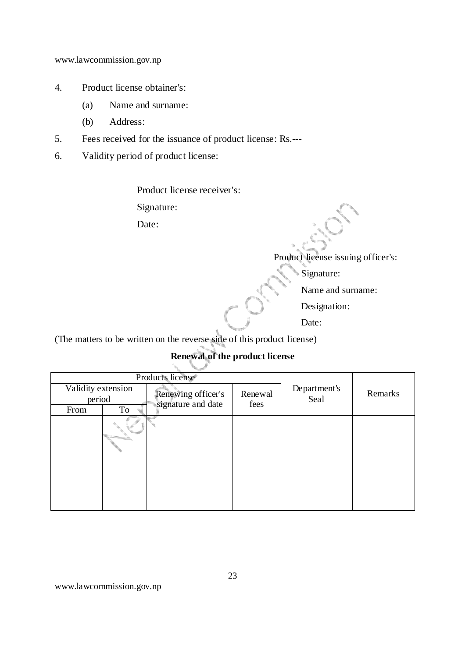- 4. Product license obtainer's:
	- (a) Name and surname:
	- (b) Address:
- 5. Fees received for the issuance of product license: Rs.---
- 6. Validity period of product license:

Product license receiver's:

Signature:

Date:

Product license issuing officer's:

Signature:

Name and surname:

Designation:

Date:

(The matters to be written on the reverse side of this product license)

# **Renewal of the product license**

|                              |    | Products license®                        |                 |                      |         |
|------------------------------|----|------------------------------------------|-----------------|----------------------|---------|
| Validity extension<br>period |    | Renewing officer's<br>signature and date | Renewal<br>fees | Department's<br>Seal | Remarks |
| From                         | To |                                          |                 |                      |         |
|                              |    |                                          |                 |                      |         |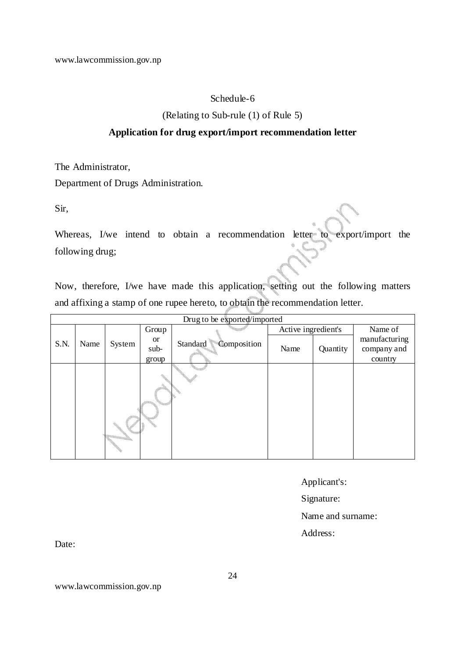#### Schedule-6

(Relating to Sub-rule (1) of Rule 5)

#### **Application for drug export/import recommendation letter**

The Administrator,

Department of Drugs Administration.

Sir,

Whereas, I/we intend to obtain a recommendation letter to export/import the following drug;

Now, therefore, I/we have made this application, setting out the following matters and affixing a stamp of one rupee hereto, to obtain the recommendation letter.

|      |      |        |                            | Drug to be exported/imported |                     |          |                                         |
|------|------|--------|----------------------------|------------------------------|---------------------|----------|-----------------------------------------|
|      |      |        | Group                      |                              | Active ingredient's |          | Name of                                 |
| S.N. | Name | System | <b>or</b><br>sub-<br>group | Composition<br>Standard      | Name                | Quantity | manufacturing<br>company and<br>country |
|      |      |        |                            |                              |                     |          |                                         |

Applicant's:

Signature:

Name and surname:

Address:

Date:

www.lawcommission.gov.np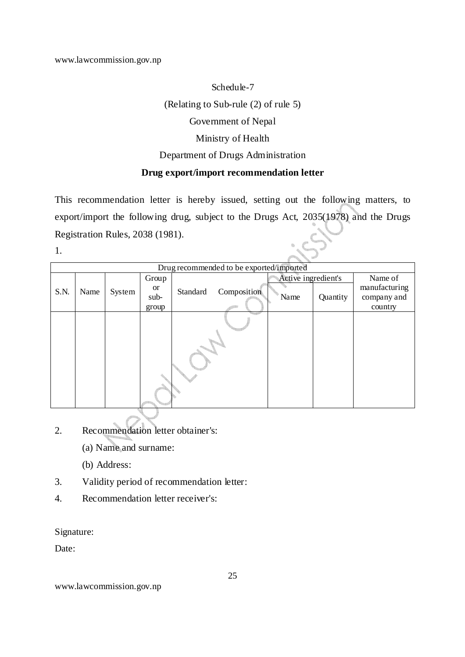Schedule-7 (Relating to Sub-rule (2) of rule 5) Government of Nepal Ministry of Health Department of Drugs Administration **Drug export/import recommendation letter** 

This recommendation letter is hereby issued, setting out the following matters, to export/import the following drug, subject to the Drugs Act, 2035(1978) and the Drugs Registration Rules, 2038 (1981).

1.

|      |      |        |                            |          | Drug recommended to be exported/imported |                     |          |                                         |
|------|------|--------|----------------------------|----------|------------------------------------------|---------------------|----------|-----------------------------------------|
|      |      |        | Group                      |          |                                          | Active ingredient's |          | Name of                                 |
| S.N. | Name | System | <b>or</b><br>sub-<br>group | Standard | Composition                              | Name                | Quantity | manufacturing<br>company and<br>country |
|      |      |        |                            |          |                                          |                     |          |                                         |

- 2. Recommendation letter obtainer's:
	- (a) Name and surname:
	- (b) Address:
- 3. Validity period of recommendation letter:
- 4. Recommendation letter receiver's:

Signature:

Date: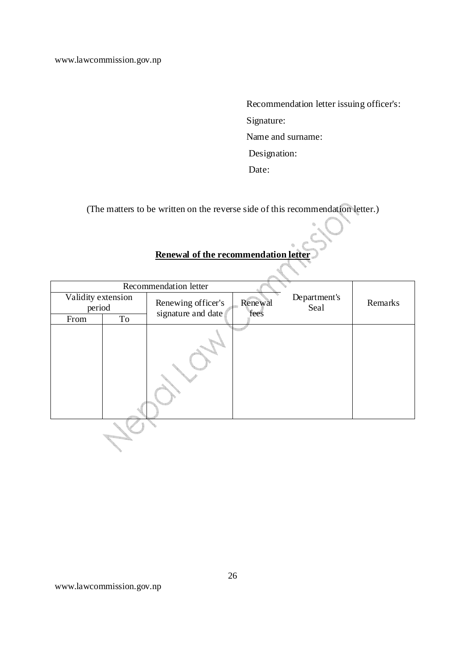Recommendation letter issuing officer's: Signature: Name and surname: Designation: Date:

(The matters to be written on the reverse side of this recommendation letter.)

## **Renewal of the recommendation letter**

|                              | Recommendation letter |                                          |                 |                      |         |  |  |  |  |  |  |  |
|------------------------------|-----------------------|------------------------------------------|-----------------|----------------------|---------|--|--|--|--|--|--|--|
| Validity extension<br>period |                       | Renewing officer's<br>signature and date | Renewal<br>fees | Department's<br>Seal | Remarks |  |  |  |  |  |  |  |
| From                         | To                    |                                          |                 |                      |         |  |  |  |  |  |  |  |
|                              |                       |                                          |                 |                      |         |  |  |  |  |  |  |  |
|                              |                       |                                          |                 |                      |         |  |  |  |  |  |  |  |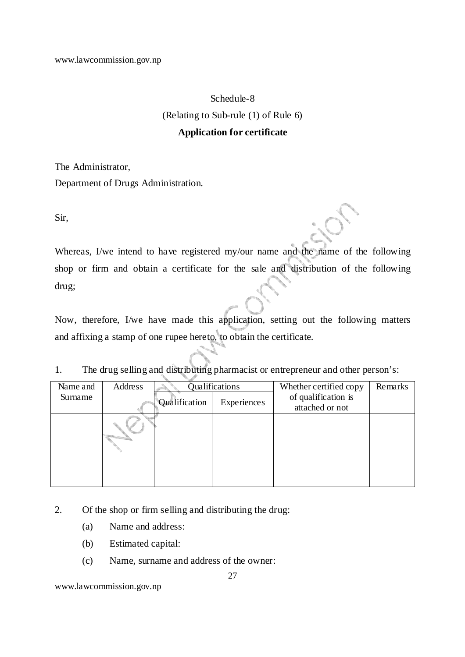#### Schedule-8

(Relating to Sub-rule (1) of Rule 6)

#### **Application for certificate**

The Administrator,

Department of Drugs Administration.

Sir,

Whereas, I/we intend to have registered my/our name and the name of the following shop or firm and obtain a certificate for the sale and distribution of the following drug;

Now, therefore, I/we have made this application, setting out the following matters and affixing a stamp of one rupee hereto, to obtain the certificate.

1. The drug selling and distributing pharmacist or entrepreneur and other person's:

| Name and | Address |               | Qualifications | Whether certified copy | Remarks |
|----------|---------|---------------|----------------|------------------------|---------|
| Surname  |         | Qualification | Experiences    | of qualification is    |         |
|          |         |               |                | attached or not        |         |
|          |         |               |                |                        |         |

2. Of the shop or firm selling and distributing the drug:

- (a) Name and address:
- (b) Estimated capital:
- (c) Name, surname and address of the owner: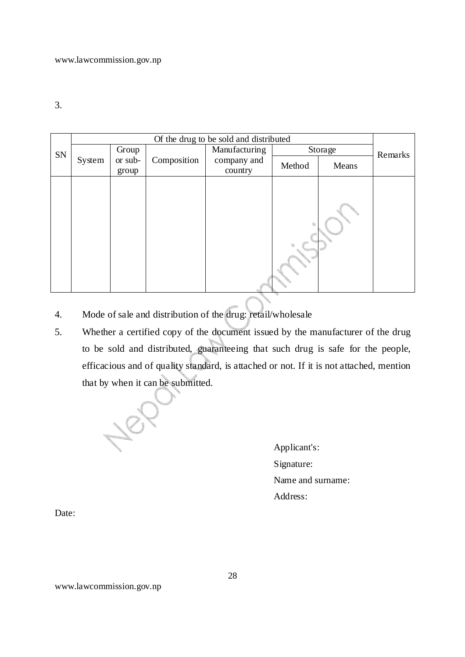3.

|    |        |         |             | Of the drug to be sold and distributed |  |         |         |  |  |  |  |  |  |  |             |        |       |  |
|----|--------|---------|-------------|----------------------------------------|--|---------|---------|--|--|--|--|--|--|--|-------------|--------|-------|--|
| SN |        | Group   |             | Manufacturing                          |  | Storage | Remarks |  |  |  |  |  |  |  |             |        |       |  |
|    | System | or sub- | Composition |                                        |  |         |         |  |  |  |  |  |  |  | company and | Method | Means |  |
|    |        | group   |             | country                                |  |         |         |  |  |  |  |  |  |  |             |        |       |  |
|    |        |         |             |                                        |  |         |         |  |  |  |  |  |  |  |             |        |       |  |

- 4. Mode of sale and distribution of the drug: retail/wholesale
- 5. Whether a certified copy of the document issued by the manufacturer of the drug to be sold and distributed, guaranteeing that such drug is safe for the people, efficacious and of quality standard, is attached or not. If it is not attached, mention that by when it can be submitted.

187

Applicant's: Signature: Name and surname: Address:

Date: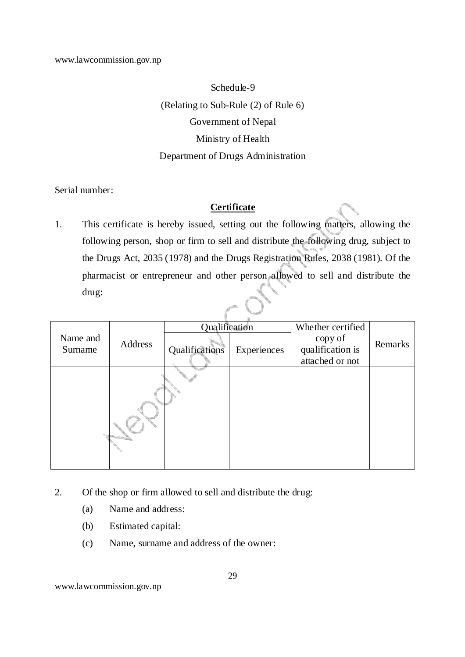Schedule-9 (Relating to Sub-Rule (2) of Rule 6) Government of Nepal Ministry of Health Department of Drugs Administration

Serial number:

#### **Certificate**

1. This certificate is hereby issued, setting out the following matters, allowing the following person, shop or firm to sell and distribute the following drug, subject to the Drugs Act, 2035 (1978) and the Drugs Registration Rules, 2038 (1981). Of the pharmacist or entrepreneur and other person allowed to sell and distribute the drug:

|          | Address | Qualification  |             | Whether certified |         |
|----------|---------|----------------|-------------|-------------------|---------|
| Name and |         |                |             | copy of           | Remarks |
| Surname  |         | Qualifications | Experiences | qualification is  |         |
|          |         |                |             | attached or not   |         |
|          |         |                |             |                   |         |
|          |         |                |             |                   |         |

- 2. Of the shop or firm allowed to sell and distribute the drug:
	- (a) Name and address:
	- (b) Estimated capital:
	- (c) Name, surname and address of the owner: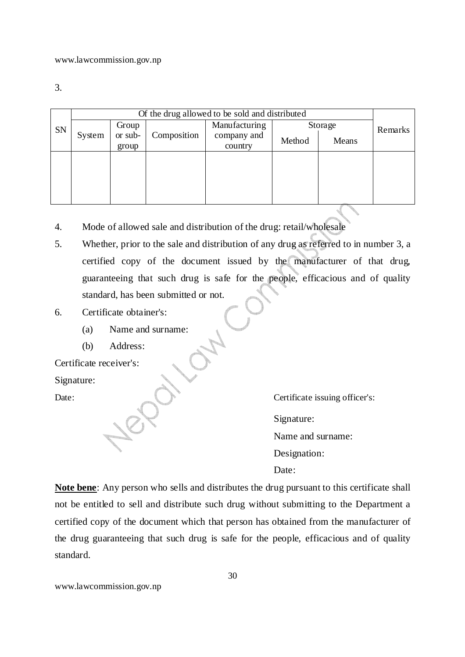3.

|    |        | Of the drug allowed to be sold and distributed |             |               |        |         |         |  |  |  |  |  |
|----|--------|------------------------------------------------|-------------|---------------|--------|---------|---------|--|--|--|--|--|
| SN |        | Group                                          |             | Manufacturing |        | Storage | Remarks |  |  |  |  |  |
|    | System | or sub-                                        | Composition | company and   | Method | Means   |         |  |  |  |  |  |
|    |        | group                                          |             | country       |        |         |         |  |  |  |  |  |
|    |        |                                                |             |               |        |         |         |  |  |  |  |  |
|    |        |                                                |             |               |        |         |         |  |  |  |  |  |
|    |        |                                                |             |               |        |         |         |  |  |  |  |  |
|    |        |                                                |             |               |        |         |         |  |  |  |  |  |
|    |        |                                                |             |               |        |         |         |  |  |  |  |  |

- 4. Mode of allowed sale and distribution of the drug: retail/wholesale
- 5. Whether, prior to the sale and distribution of any drug as referred to in number 3, a certified copy of the document issued by the manufacturer of that drug, guaranteeing that such drug is safe for the people, efficacious and of quality standard, has been submitted or not.

#### 6. Certificate obtainer's:

- (a) Name and surname:
- (b) Address:

Certificate receiver's:

Signature:

Date: Certificate issuing officer's:

Signature:

Name and surname:

Designation:

Date:

**Note bene**: Any person who sells and distributes the drug pursuant to this certificate shall not be entitled to sell and distribute such drug without submitting to the Department a certified copy of the document which that person has obtained from the manufacturer of the drug guaranteeing that such drug is safe for the people, efficacious and of quality standard.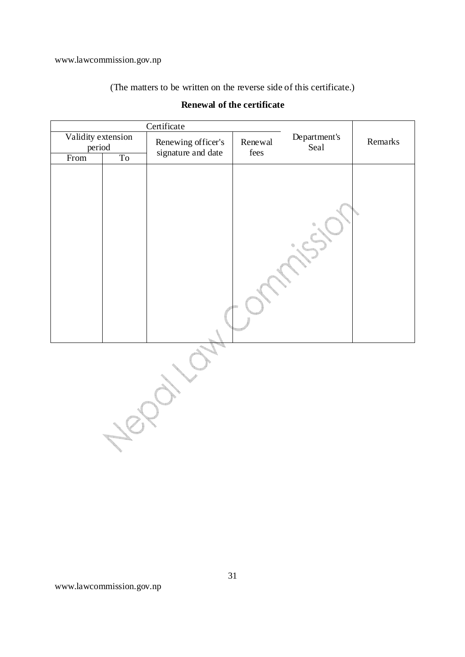(The matters to be written on the reverse side of this certificate.)

|                              |                | Certificate        |         |                      |         |  |
|------------------------------|----------------|--------------------|---------|----------------------|---------|--|
| Validity extension<br>period |                | Renewing officer's | Renewal | Department's<br>Seal | Remarks |  |
| From                         | T <sub>o</sub> | signature and date | fees    |                      |         |  |
|                              |                |                    |         |                      |         |  |
|                              |                |                    |         |                      |         |  |

## **Renewal of the certificate**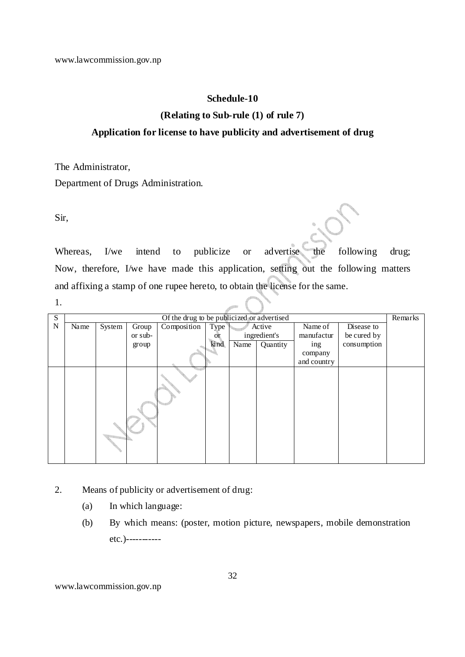#### **Schedule-10**

#### **(Relating to Sub-rule (1) of rule 7)**

#### **Application for license to have publicity and advertisement of drug**

The Administrator,

Department of Drugs Administration.

Sir,

Whereas, I/we intend to publicize or advertise the following drug; Now, therefore, I/we have made this application, setting out the following matters and affixing a stamp of one rupee hereto, to obtain the license for the same.

| S |      |        |         | Of the drug to be publicized or advertised |           |        |              |             |             | Remarks |
|---|------|--------|---------|--------------------------------------------|-----------|--------|--------------|-------------|-------------|---------|
| N | Name | System | Group   | Composition                                | Type      | Active |              | Name of     | Disease to  |         |
|   |      |        | or sub- |                                            | <b>Or</b> |        | ingredient's | manufactur  | be cured by |         |
|   |      |        | group   |                                            | kind      | Name   | Quantity     | ing         | consumption |         |
|   |      |        |         |                                            |           |        |              | company     |             |         |
|   |      |        |         |                                            |           |        |              | and country |             |         |
|   |      |        |         |                                            |           |        |              |             |             |         |

- 2. Means of publicity or advertisement of drug:
	- (a) In which language:
	- (b) By which means: (poster, motion picture, newspapers, mobile demonstration etc.)-----------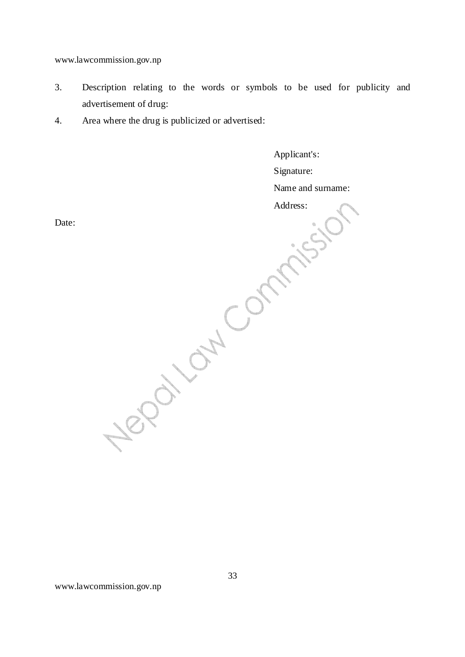- 3. Description relating to the words or symbols to be used for publicity and advertisement of drug:
- 4. Area where the drug is publicized or advertised:

Applicant's: Signature: Name and surname: Address:

Date: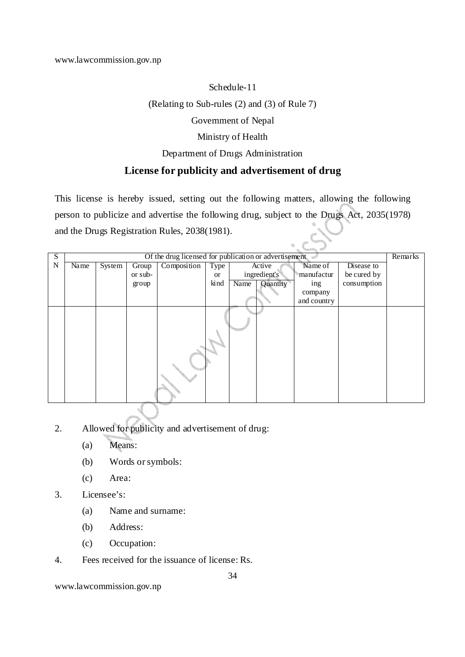# Schedule-11 (Relating to Sub-rules (2) and (3) of Rule 7) Government of Nepal Ministry of Health

#### Department of Drugs Administration

## **License for publicity and advertisement of drug**

This license is hereby issued, setting out the following matters, allowing the following person to publicize and advertise the following drug, subject to the Drugs Act, 2035(1978) and the Drugs Registration Rules, 2038(1981).

| S |      |                            |         | Of the drug licensed for publication or advertisement |           |      |              |             |             | Remarks |
|---|------|----------------------------|---------|-------------------------------------------------------|-----------|------|--------------|-------------|-------------|---------|
| N | Name | $\overline{\text{System}}$ | Group   | Composition                                           | Type      |      | Active       | Name of     | Disease to  |         |
|   |      |                            | or sub- |                                                       | <b>or</b> |      | ingredient's | manufactur  | be cured by |         |
|   |      |                            | group   |                                                       | kind      | Name | Quantity     | ing         | consumption |         |
|   |      |                            |         |                                                       |           |      |              | company     |             |         |
|   |      |                            |         |                                                       |           |      |              | and country |             |         |
|   |      |                            |         |                                                       |           |      |              |             |             |         |
|   |      |                            |         |                                                       |           |      |              |             |             |         |
|   |      |                            |         |                                                       |           |      |              |             |             |         |
|   |      |                            |         |                                                       |           |      |              |             |             |         |
|   |      |                            |         |                                                       |           |      |              |             |             |         |
|   |      |                            |         |                                                       |           |      |              |             |             |         |
|   |      |                            |         |                                                       |           |      |              |             |             |         |
|   |      |                            |         |                                                       |           |      |              |             |             |         |
|   |      |                            |         |                                                       |           |      |              |             |             |         |
|   |      |                            |         |                                                       |           |      |              |             |             |         |

- 2. Allowed for publicity and advertisement of drug:
	- (a) Means:
	- (b) Words or symbols:
	- (c) Area:
- 3. Licensee's:
	- (a) Name and surname:
	- (b) Address:
	- (c) Occupation:
- 4. Fees received for the issuance of license: Rs.

www.lawcommission.gov.np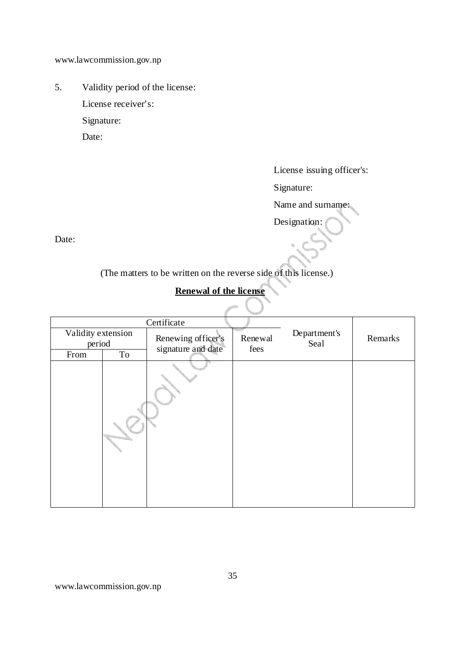5. Validity period of the license: License receiver's: Signature: Date:

License issuing officer's:

Signature:

Name and surname:

Designation:

Date:

(The matters to be written on the reverse side of this license.)

# **Renewal of the license**

|                              |    | Certificate                              |                 |                      |         |  |
|------------------------------|----|------------------------------------------|-----------------|----------------------|---------|--|
| Validity extension<br>period |    | Renewing officer's<br>signature and date | Renewal<br>fees | Department's<br>Seal | Remarks |  |
| From                         | To |                                          |                 |                      |         |  |
|                              |    |                                          |                 |                      |         |  |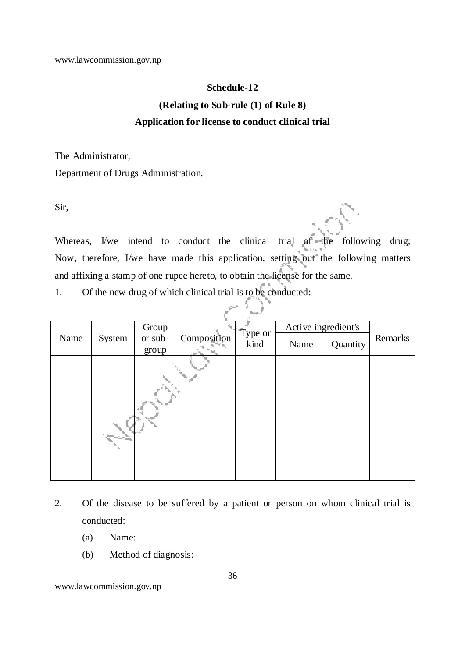#### **Schedule-12**

# **(Relating to Sub-rule (1) of Rule 8) Application for license to conduct clinical trial**

The Administrator,

Department of Drugs Administration.

Sir,

Whereas, I/we intend to conduct the clinical trial of the following drug; Now, therefore, I/we have made this application, setting out the following matters and affixing a stamp of one rupee hereto, to obtain the license for the same.

1. Of the new drug of which clinical trial is to be conducted:

|      |        | Group   |             |                 | Active ingredient's |          |         |
|------|--------|---------|-------------|-----------------|---------------------|----------|---------|
| Name | System | or sub- | Composition | Type or<br>kind | Name                | Quantity | Remarks |
|      |        | group   |             |                 |                     |          |         |
|      |        |         |             |                 |                     |          |         |

- 2. Of the disease to be suffered by a patient or person on whom clinical trial is conducted:
	- (a) Name:
	- (b) Method of diagnosis: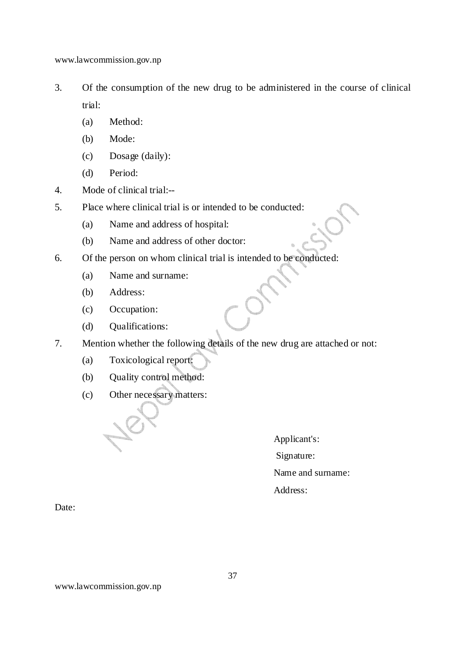- 3. Of the consumption of the new drug to be administered in the course of clinical trial:
	- (a) Method:
	- (b) Mode:
	- (c) Dosage (daily):
	- (d) Period:
- 4. Mode of clinical trial:--
- 5. Place where clinical trial is or intended to be conducted:
	- (a) Name and address of hospital:
	- (b) Name and address of other doctor:
- 6. Of the person on whom clinical trial is intended to be conducted:
	- (a) Name and surname:
	- (b) Address:
	- (c) Occupation:
	- (d) Qualifications:
- 7. Mention whether the following details of the new drug are attached or not:
	- (a) Toxicological report:
	- (b) Quality control method:
	- (c) Other necessary matters:

Applicant's: Signature:

Name and surname:

Address:

Date: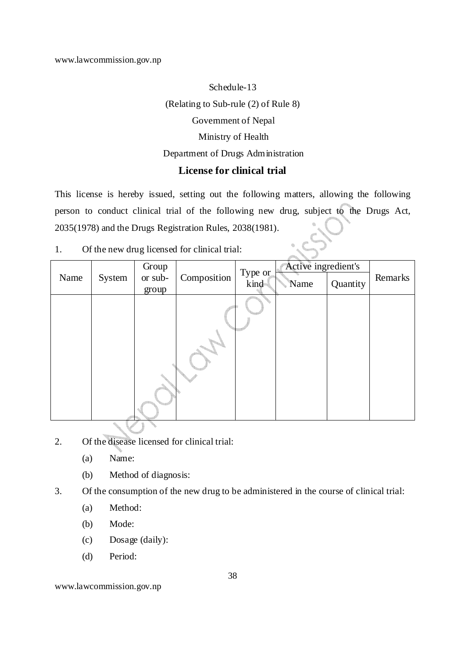# Schedule-13 (Relating to Sub-rule (2) of Rule 8) Government of Nepal Ministry of Health Department of Drugs Administration **License for clinical trial**

This license is hereby issued, setting out the following matters, allowing the following person to conduct clinical trial of the following new drug, subject to the Drugs Act, 2035(1978) and the Drugs Registration Rules, 2038(1981).

1. Of the new drug licensed for clinical trial:

|      | Active ingredient's<br>Group |                  |             |                 |      |          |         |
|------|------------------------------|------------------|-------------|-----------------|------|----------|---------|
| Name | System                       | or sub-<br>group | Composition | Type or<br>kind | Name | Quantity | Remarks |
|      |                              |                  |             |                 |      |          |         |

- 2. Of the disease licensed for clinical trial:
	- (a) Name:
	- (b) Method of diagnosis:
- 3. Of the consumption of the new drug to be administered in the course of clinical trial:
	- (a) Method:
	- (b) Mode:
	- (c) Dosage (daily):
	- (d) Period:

www.lawcommission.gov.np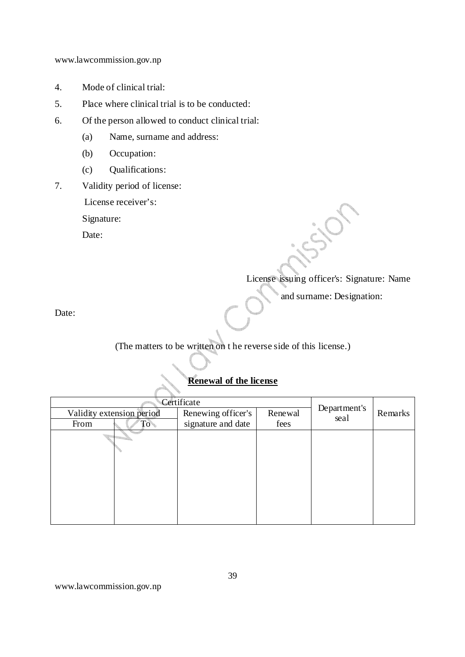- 4. Mode of clinical trial:
- 5. Place where clinical trial is to be conducted:
- 6. Of the person allowed to conduct clinical trial:
	- (a) Name, surname and address:
	- (b) Occupation:
	- (c) Qualifications:
- 7. Validity period of license:

License receiver's:

Signature:

Date:

# License issuing officer's: Signature: Name

and surname: Designation:

Date:

(The matters to be written on t he reverse side of this license.)

# **Renewal of the license**

| Certificate               |                    |         |                      |         |
|---------------------------|--------------------|---------|----------------------|---------|
| Validity extension period | Renewing officer's | Renewal | Department's<br>seal | Remarks |
| From<br>${\rm To}$ .      | signature and date | fees    |                      |         |
|                           |                    |         |                      |         |
|                           |                    |         |                      |         |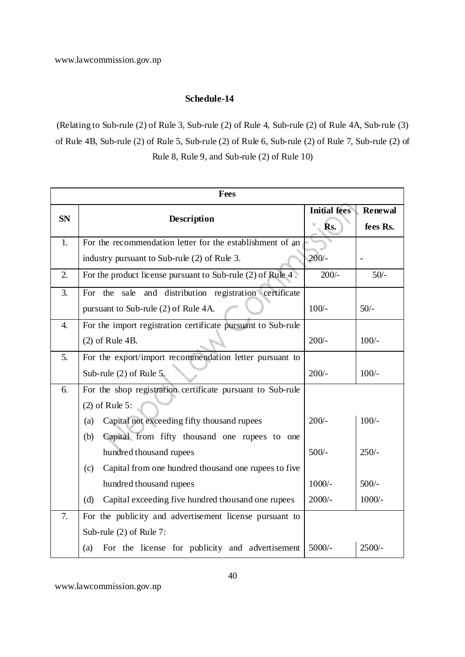#### **Schedule-14**

(Relating to Sub-rule (2) of Rule 3, Sub-rule (2) of Rule 4, Sub-rule (2) of Rule 4A, Sub-rule (3) of Rule 4B, Sub-rule (2) of Rule 5, Sub-rule (2) of Rule 6, Sub-rule (2) of Rule 7, Sub-rule (2) of Rule 8, Rule 9, and Sub-rule (2) of Rule 10)

| <b>Fees</b>      |                                                              |                     |                |  |
|------------------|--------------------------------------------------------------|---------------------|----------------|--|
|                  |                                                              | <b>Initial fees</b> | <b>Renewal</b> |  |
| <b>SN</b>        | Description                                                  | Rs.                 | fees Rs.       |  |
| 1.               | For the recommendation letter for the establishment of an    |                     |                |  |
|                  | industry pursuant to Sub-rule (2) of Rule 3.                 | $200/-$             |                |  |
| $\overline{2}$ . | For the product license pursuant to Sub-rule (2) of Rule 4.  | $200/-$             | $50/-$         |  |
| 3.               | For the sale and distribution registration certificate       |                     |                |  |
|                  | pursuant to Sub-rule (2) of Rule 4A.                         | $100/-$             | $50/-$         |  |
| 4.               | For the import registration certificate pursuant to Sub-rule |                     |                |  |
|                  | $(2)$ of Rule 4B.                                            | $200/-$             | $100/-$        |  |
| 5.               | For the export/import recommendation letter pursuant to      |                     |                |  |
|                  | Sub-rule $(2)$ of Rule $5$ .                                 | $200/-$             | $100/-$        |  |
| 6.               | For the shop registration certificate pursuant to Sub-rule   |                     |                |  |
|                  | $(2)$ of Rule 5:                                             |                     |                |  |
|                  | Capital not exceeding fifty thousand rupees<br>(a)           | $200/-$             | $100/-$        |  |
|                  | Capital from fifty thousand one rupees to one<br>(b)         |                     |                |  |
|                  | hundred thousand rupees                                      | $500/-$             | $250/-$        |  |
|                  | Capital from one hundred thousand one rupees to five<br>(c)  |                     |                |  |
|                  | hundred thousand rupees                                      | $1000/-$            | $500/-$        |  |
|                  | Capital exceeding five hundred thousand one rupees<br>(d)    | $2000/-$            | $1000/-$       |  |
| 7.               | For the publicity and advertisement license pursuant to      |                     |                |  |
|                  | Sub-rule (2) of Rule 7:                                      |                     |                |  |
|                  | For the license for publicity and advertisement<br>(a)       | $5000/-$            | 2500/-         |  |

www.lawcommission.gov.np